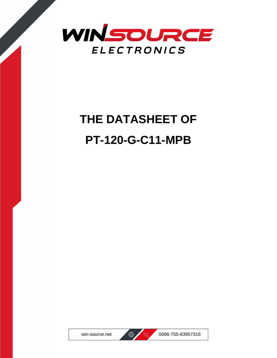

## **THE DATASHEET OF PT-120-G-C11-MPB**





win-source.net  $\bigoplus$   $\bigotimes$  0086-755-83957316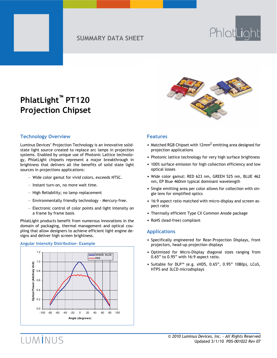### **SUMMARY DATA SHEET**

# PhlatLight

### **PhlatLight™ PT120 Projection Chipset**



#### **Technology Overview**

Luminus Devices' Projection Technology is an innovative solidstate light source created to replace arc lamps in projection systems. Enabled by unique use of Photonic Lattice technology, PhlatLight chipsets represent a major breakthrough in brightness that delivers all the benefits of solid state light sources in projections applications:

- Wide color gamut for vivid colors, exceeds NTSC.
- Instant turn-on, no more wait time.
- High Reliability; no lamp replacement
- Environmentally friendly technology Mercury-free.
- Electronic control of color points and light intensity on a frame by frame basis

PhlatLight products benefit from numerous innovations in the domain of packaging, thermal management and optical coupling that allow designers to achieve efficient light engine designs and deliver high screen brightness.

#### **Angular Intensity Distribution- Example**



#### **Features**

- Matched RGB Chipset with 12mm<sup>2</sup> emitting area designed for projection applications
- Photonic lattice technology for very high surface brightness
- 100% surface emission for high collection efficiency and low optical losses
- Wide color gamut: RED 623 nm, GREEN 525 nm, BLUE 462 nm, EP Blue 460nm typical dominant wavelength
- Single emitting area per color allows for collection with single lens for simplified optics
- 16:9 aspect ratio matched with micro-display and screen aspect ratio
- Thermally efficient Type CX Common Anode package
- RoHS (lead-free) compliant

#### **Applications**

- Specifically engineered for Rear-Projection Displays, front projectors, head-up projection displays
- Optimized for Micro-Display diagonal sizes ranging from 0.65" to 0.95" with 16:9 aspect ratio.
- Suitable for DLP™ (e.g. xHD5, 0.65", 0.95" 1080p), LCoS, HTPS and 3LCD microdisplays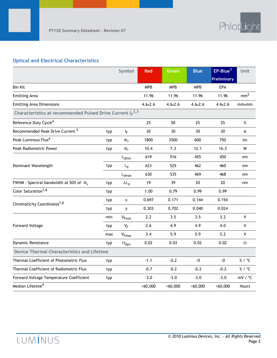#### **Optical and Electrical Characteristics**

|                                                                 |     | Symbol                       | <b>Red</b> | <b>Green</b> | <b>Blue</b> | EP-Blue <sup>1</sup> | Unit             |
|-----------------------------------------------------------------|-----|------------------------------|------------|--------------|-------------|----------------------|------------------|
|                                                                 |     |                              |            |              |             | <b>Preliminary</b>   |                  |
| <b>Bin Kit</b>                                                  |     |                              | <b>MPB</b> | <b>MPB</b>   | <b>MPB</b>  | <b>EPA</b>           |                  |
| <b>Emitting Area</b>                                            |     |                              | 11.96      | 11.96        | 11.96       | 11.96                | mm <sup>2</sup>  |
| <b>Emitting Area Dimensions</b>                                 |     |                              | 4.6x2.6    | 4.6x2.6      | 4.6x2.6     | 4.6x2.6              | mmxmm            |
| Characteristics at recommended Pulsed Drive Current $I_F^{2,3}$ |     |                              |            |              |             |                      |                  |
| Reference Duty Cycle <sup>4</sup>                               |     |                              | 25         | 50           | 25          | 25                   | $\%$             |
| Recommended Peak Drive Current <sup>5</sup>                     | typ | $\mathsf{I}_\mathsf{F}$      | 30         | 30           | 30          | 30                   | A                |
| Peak Luminous Flux <sup>6</sup>                                 | typ | $\Phi_{\rm V}$               | 1800       | 3500         | 600         | 750                  | lm               |
| <b>Peak Radiometric Power</b>                                   | typ | $\Phi_{r}$                   | 10.4       | 7.3          | 12.1        | 16.3                 | W                |
|                                                                 |     | $\lambda$ <sub>dmin</sub>    | 619        | 516          | 455         | 450                  | nm               |
| Dominant Wavelength                                             | typ | $\lambda_{\mathsf{d}}$       | 623        | 525          | 462         | 460                  | nm               |
|                                                                 |     | $\lambda$ <sub>dmax</sub>    | 630        | 535          | 469         | 468                  | nm               |
| FWHM - Spectral bandwidth at 50% of $\Phi_{v}$                  | typ | $\Delta\lambda_{\mathsf{d}}$ | 19         | 39           | 20          | 20                   | nm               |
| Color Saturation <sup>7,8</sup>                                 | typ |                              | 1.00       | 0.79         | 0.99        | 0.99                 |                  |
| Chromaticity Coordinates <sup>7,8</sup>                         |     | $\pmb{\mathsf{x}}$           | 0.697      | 0.171        | 0.144       | 0.154                |                  |
|                                                                 | typ | y                            | 0.303      | 0.702        | 0.040       | 0.024                |                  |
|                                                                 | min | $V_{Fmin}$                   | 2.2        | 3.5          | 3.5         | 3.2                  | $\mathsf{V}$     |
| <b>Forward Voltage</b>                                          | typ | $V_F$                        | 2.6        | 4.9          | 4.9         | 4.0                  | $\mathsf{V}$     |
|                                                                 | max | $V_{Fmax}$                   | 3.4        | 5.9          | 5.9         | 5.2                  | $\mathsf{V}$     |
| Dynamic Resistance                                              | typ | $\Omega_{\text{dyn}}$        | 0.02       | 0.03         | 0.02        | 0.02                 | $\Omega$         |
| <b>Device Thermal Characteristics and Lifetime</b>              |     |                              |            |              |             |                      |                  |
| Thermal Coefficient of Photometric Flux                         | typ |                              | $-1.1$     | $-0.2$       | $-0$        | $~\text{-}0$         | % / $^{\circ}$ C |
| Thermal Coefficient of Radiometric Flux                         | typ |                              | $-0.7$     | $-0.2$       | $-0.2$      | $-0.2$               | % / °C           |
| Forward Voltage Temperature Coefficient                         | typ |                              | $-3.0$     | $-3.0$       | $-3.0$      | $-3.0$               | mV / °C          |
| Median Lifetime <sup>9</sup>                                    |     |                              | >60,000    | >60,000      | >60,000     | >60,000              | Hours            |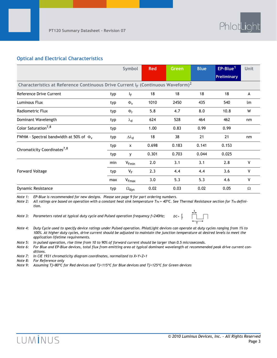#### **Optical and Electrical Characteristics**

|                                                                                                |     | Symbol                       | <b>Red</b> | Green | <b>Blue</b> | $EP-Blue1$         | Unit         |
|------------------------------------------------------------------------------------------------|-----|------------------------------|------------|-------|-------------|--------------------|--------------|
|                                                                                                |     |                              |            |       |             | <b>Preliminary</b> |              |
| Characteristics at Reference Continuous Drive Current $I_F$ (Continuous Waveform) <sup>2</sup> |     |                              |            |       |             |                    |              |
| Reference Drive Current                                                                        | typ | IF.                          | 18         | 18    | 18          | 18                 | A            |
| Luminous Flux                                                                                  | typ | $\Phi_{\mathsf{v}}$          | 1010       | 2450  | 435         | 540                | lm           |
| Radiometric Flux                                                                               | typ | $\Phi_{\mathsf{r}}$          | 5.8        | 4.7   | 8.0         | 10.8               | W            |
| Dominant Wavelength                                                                            | typ | $\lambda_{\mathsf{d}}$       | 624        | 528   | 464         | 462                | nm           |
| Color Saturation <sup>7,8</sup>                                                                | typ |                              | 1.00       | 0.83  | 0.99        | 0.99               |              |
| FWHM - Spectral bandwidth at 50% of $\Phi_{v}$                                                 | typ | $\Delta\lambda_{\mathsf{d}}$ | 18         | 38    | 21          | 21                 | nm           |
| Chromaticity Coordinates <sup>7,8</sup>                                                        | typ | $\mathsf{x}$                 | 0.698      | 0.183 | 0.141       | 0.153              |              |
|                                                                                                | typ | v                            | 0.301      | 0.703 | 0.044       | 0.025              |              |
|                                                                                                | min | $V_{Fmin}$                   | 2.0        | 3.1   | 3.1         | 2.8                | V            |
| <b>Forward Voltage</b>                                                                         | typ | $V_F$                        | 2.3        | 4.4   | 4.4         | 3.6                | $\mathsf{V}$ |
|                                                                                                | max | $V_{Fmax}$                   | 3.0        | 5.3   | 5.3         | 4.6                | V            |
| Dynamic Resistance                                                                             | typ | $\Omega_{\text{dyn}}$        | 0.02       | 0.03  | 0.02        | 0.05               | $\Omega$     |

*Note 1: EP-Blue is recommended for new designs. Please see page 9 for part ordering numbers.* 

*Note 2: All ratings are based on operation with a constant heat sink temperature Ths = 40ºC. See Thermal Resistance section for Ths definition.*

*Note 3: Parameters rated at typical duty cycle and Pulsed operation frequency f>240Hz;* 



*Note 4: Duty Cycle used to specify device ratings under Pulsed operation. PhlatLight devices can operate at duty cycles ranging from 1% to 100%. At higher duty cycles, drive current should be adjusted to maintain the junction temperature at desired levels to meet the application lifetime requirements.* 

*Note 5: In pulsed operation, rise time from 10 to 90% of forward current should be larger than 0.5 microseconds.*

*Note 6: For Blue and EP-Blue devices, total flux from emitting area at typical dominant wavelength at recommended peak drive current conditions.* 

*Note 7: In CIE 1931 chromaticity diagram coordinates, normalized to X+Y+Z=1*

*Note 8: For Reference only*

*Note 9: Assuming Tj<80ºC for Red devices and Tj<115ºC for Blue devices and Tj<125ºC for Green devices*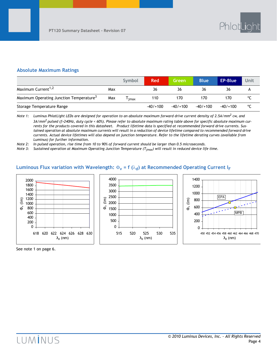#### **Absolute Maximum Ratings**

|                                                     |     | Symbol | <b>Red</b> | Green      | <b>Blue</b> | <b>EP-Blue</b> | Unit |
|-----------------------------------------------------|-----|--------|------------|------------|-------------|----------------|------|
| Maximum Current <sup>1,2</sup>                      | Max |        | 36         | 36         | 36          | 36             |      |
| Maximum Operating Junction Temperature <sup>3</sup> | Max | imax   | 110        | 170        | 170         | 170            |      |
| Storage Temperature Range                           |     |        | $-40/+100$ | $-40/+100$ | $-40/1100$  | $-40/1100$     | °C   |

*Note 1:* Luminus PhlatLight LEDs are designed for operation to an absolute maximum forward drive current density of 2.5A/mm<sup>2</sup> cw, and  *3A/mm2 pulsed (f>240Hz, duty cycle < 60%). Please refer to absolute maximum rating table above for specific absolute maximum currents for the products covered in this datasheet. Product lifetime data is specified at recommended forward drive currents. Sustained operation at absolute maximum currents will result in a reduction of device lifetime compared to recommended forward drive currents. Actual device lifetimes will also depend on junction temperature. Refer to the lifetime derating curves (available from Luminus) for further information.*

*Note 2: In pulsed operation, rise time from 10 to 90% of forward current should be larger than 0.5 microseconds.*

*Note 3: Sustained operation at Maximum Operating Junction Temperature (Tjmax) will result in reduced device life time.*

#### **Luminous Flux variation with Wavelength:**  $\Phi_{\mathbf{v}} = \mathbf{f}(\lambda_{\mathbf{d}})$  at Recommended Operating Current I<sub>F</sub>



See note 1 on page 6.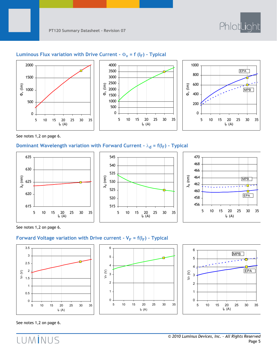



#### **Luminous Flux variation with Drive Current -**  $\Phi_{\mathbf{v}} = \mathbf{f}(\mathbf{I_F})$  **- Typical**





See notes 1,2 on page 6.

#### **Dominant Wavelength variation with Forward Current - λ<sub>d</sub> = f(I<sub>F</sub>) - Typical**







See notes 1,2 on page 6.

#### Forward Voltage variation with Drive current -  $V_F = f(I_F)$  - Typical







See notes 1,2 on page 6.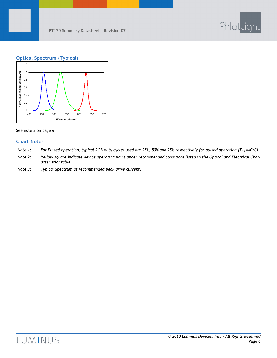

#### **Optical Spectrum (Typical)**



See note 3 on page 6.

#### **Chart Notes**

- *Note 1*: For Pulsed operation, typical RGB duty cycles used are 25%, 50% and 25% respectively for pulsed operation (T<sub>hs</sub> =40<sup>o</sup>C).
- *Note 2: Yellow square indicate device operating point under recommended conditions listed in the Optical and Electrical Characteristics table.*
- *Note 3: Typical Spectrum at recommended peak drive current.*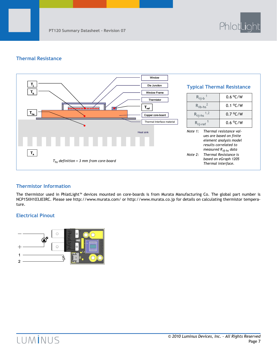

#### **Thermal Resistance**



#### **Thermistor Information**

The thermistor used in PhlatLight™ devices mounted on core-boards is from Murata Manufacturing Co. The global part number is NCP15XH103J03RC. Please see http://www.murata.com/ or http://www.murata.co.jp for details on calculating thermistor temperature.

#### **Electrical Pinout**

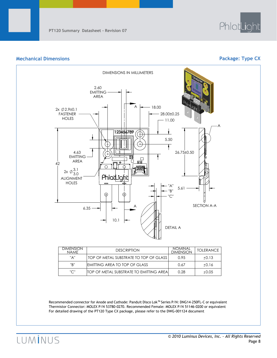

#### **Mechanical Dimensions Package: Type CX**



| <b>DIMENSION</b><br><b>NAMF</b> | <b>DESCRIPTION</b>                               | <b>NOMINAL</b><br><b>DIMENSION</b> | <b>TOLERANCE</b> |
|---------------------------------|--------------------------------------------------|------------------------------------|------------------|
| "A"                             | TOP OF METAL SUBSTRATE TO TOP OF GLASS           | 0.95                               | $+0.13$          |
| "B"                             | <b>IEMITTING AREA TO TOP OF GLASS</b>            | 0.67                               | $+0.16$          |
| "C"                             | <b>ITOP OF METAL SUBSTRATE TO EMITTING AREAL</b> | 0.28                               | $+0.05$          |

Recommended connector for Anode and Cathode: Panduit Disco Lok™ Series P/N: DNG14-250FL-C or equivalent Thermistor Connector: MOLEX P/N 53780-0270. Recommended Female: MOLEX P/N 51146-0200 or equivalent For detailed drawing of the PT120 Type CX package, please refer to the DWG-001124 document